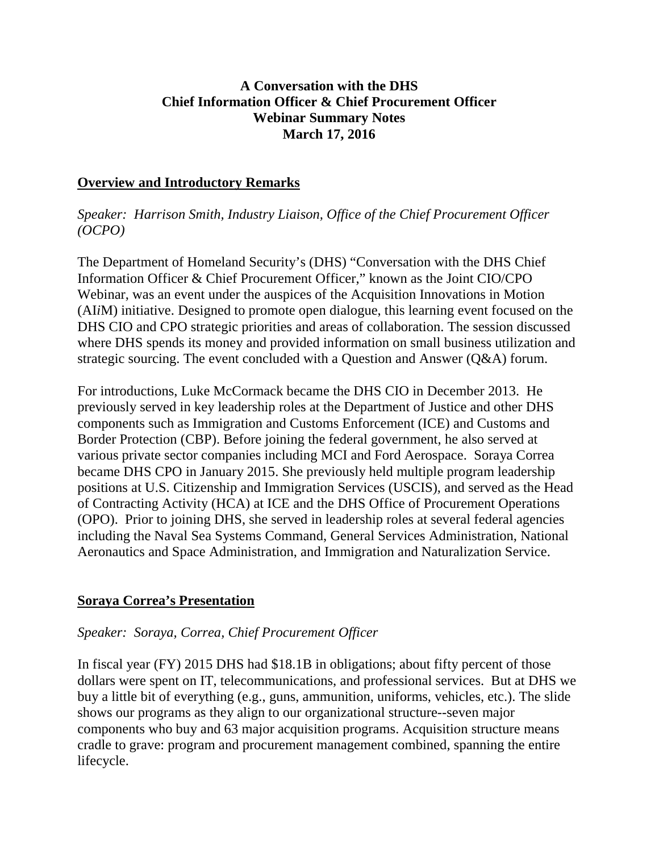### **A Conversation with the DHS Chief Information Officer & Chief Procurement Officer Webinar Summary Notes March 17, 2016**

#### **Overview and Introductory Remarks**

*Speaker: Harrison Smith, Industry Liaison, Office of the Chief Procurement Officer (OCPO)*

The Department of Homeland Security's (DHS) "Conversation with the DHS Chief Information Officer & Chief Procurement Officer," known as the Joint CIO/CPO Webinar, was an event under the auspices of the Acquisition Innovations in Motion (AI*i*M) initiative. Designed to promote open dialogue, this learning event focused on the DHS CIO and CPO strategic priorities and areas of collaboration. The session discussed where DHS spends its money and provided information on small business utilization and strategic sourcing. The event concluded with a Question and Answer (Q&A) forum.

For introductions, Luke McCormack became the DHS CIO in December 2013. He previously served in key leadership roles at the Department of Justice and other DHS components such as Immigration and Customs Enforcement (ICE) and Customs and Border Protection (CBP). Before joining the federal government, he also served at various private sector companies including MCI and Ford Aerospace. Soraya Correa became DHS CPO in January 2015. She previously held multiple program leadership positions at U.S. Citizenship and Immigration Services (USCIS), and served as the Head of Contracting Activity (HCA) at ICE and the DHS Office of Procurement Operations (OPO). Prior to joining DHS, she served in leadership roles at several federal agencies including the Naval Sea Systems Command, General Services Administration, National Aeronautics and Space Administration, and Immigration and Naturalization Service.

### **Soraya Correa's Presentation**

#### *Speaker: Soraya, Correa, Chief Procurement Officer*

In fiscal year (FY) 2015 DHS had \$18.1B in obligations; about fifty percent of those dollars were spent on IT, telecommunications, and professional services. But at DHS we buy a little bit of everything (e.g., guns, ammunition, uniforms, vehicles, etc.). The slide shows our programs as they align to our organizational structure--seven major components who buy and 63 major acquisition programs. Acquisition structure means cradle to grave: program and procurement management combined, spanning the entire lifecycle.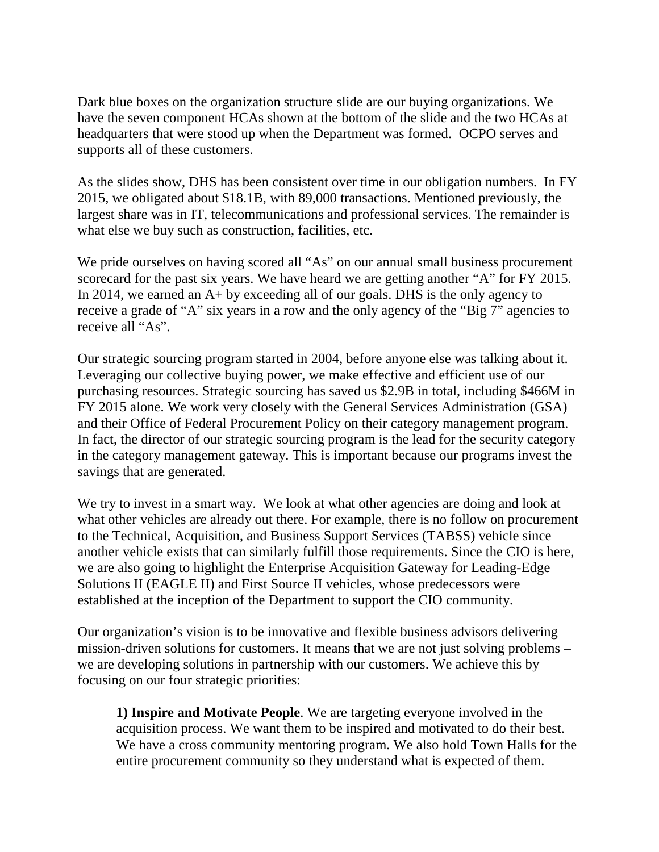Dark blue boxes on the organization structure slide are our buying organizations. We have the seven component HCAs shown at the bottom of the slide and the two HCAs at headquarters that were stood up when the Department was formed. OCPO serves and supports all of these customers.

As the slides show, DHS has been consistent over time in our obligation numbers. In FY 2015, we obligated about \$18.1B, with 89,000 transactions. Mentioned previously, the largest share was in IT, telecommunications and professional services. The remainder is what else we buy such as construction, facilities, etc.

We pride ourselves on having scored all "As" on our annual small business procurement scorecard for the past six years. We have heard we are getting another "A" for FY 2015. In 2014, we earned an A+ by exceeding all of our goals. DHS is the only agency to receive a grade of "A" six years in a row and the only agency of the "Big 7" agencies to receive all "As".

Our strategic sourcing program started in 2004, before anyone else was talking about it. Leveraging our collective buying power, we make effective and efficient use of our purchasing resources. Strategic sourcing has saved us \$2.9B in total, including \$466M in FY 2015 alone. We work very closely with the General Services Administration (GSA) and their Office of Federal Procurement Policy on their category management program. In fact, the director of our strategic sourcing program is the lead for the security category in the category management gateway. This is important because our programs invest the savings that are generated.

We try to invest in a smart way. We look at what other agencies are doing and look at what other vehicles are already out there. For example, there is no follow on procurement to the Technical, Acquisition, and Business Support Services (TABSS) vehicle since another vehicle exists that can similarly fulfill those requirements. Since the CIO is here, we are also going to highlight the Enterprise Acquisition Gateway for Leading-Edge Solutions II (EAGLE II) and First Source II vehicles, whose predecessors were established at the inception of the Department to support the CIO community.

Our organization's vision is to be innovative and flexible business advisors delivering mission-driven solutions for customers. It means that we are not just solving problems – we are developing solutions in partnership with our customers. We achieve this by focusing on our four strategic priorities:

**1) Inspire and Motivate People**. We are targeting everyone involved in the acquisition process. We want them to be inspired and motivated to do their best. We have a cross community mentoring program. We also hold Town Halls for the entire procurement community so they understand what is expected of them.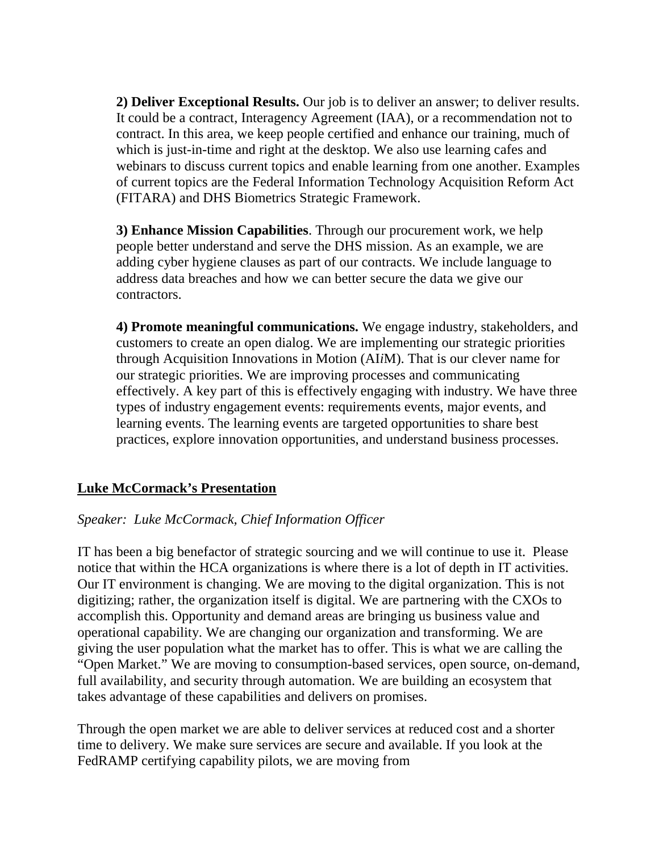**2) Deliver Exceptional Results.** Our job is to deliver an answer; to deliver results. It could be a contract, Interagency Agreement (IAA), or a recommendation not to contract. In this area, we keep people certified and enhance our training, much of which is just-in-time and right at the desktop. We also use learning cafes and webinars to discuss current topics and enable learning from one another. Examples of current topics are the Federal Information Technology Acquisition Reform Act (FITARA) and DHS Biometrics Strategic Framework.

**3) Enhance Mission Capabilities**. Through our procurement work, we help people better understand and serve the DHS mission. As an example, we are adding cyber hygiene clauses as part of our contracts. We include language to address data breaches and how we can better secure the data we give our contractors.

**4) Promote meaningful communications.** We engage industry, stakeholders, and customers to create an open dialog. We are implementing our strategic priorities through Acquisition Innovations in Motion (AI*i*M). That is our clever name for our strategic priorities. We are improving processes and communicating effectively. A key part of this is effectively engaging with industry. We have three types of industry engagement events: requirements events, major events, and learning events. The learning events are targeted opportunities to share best practices, explore innovation opportunities, and understand business processes.

### **Luke McCormack's Presentation**

### *Speaker: Luke McCormack, Chief Information Officer*

IT has been a big benefactor of strategic sourcing and we will continue to use it. Please notice that within the HCA organizations is where there is a lot of depth in IT activities. Our IT environment is changing. We are moving to the digital organization. This is not digitizing; rather, the organization itself is digital. We are partnering with the CXOs to accomplish this. Opportunity and demand areas are bringing us business value and operational capability. We are changing our organization and transforming. We are giving the user population what the market has to offer. This is what we are calling the "Open Market." We are moving to consumption-based services, open source, on-demand, full availability, and security through automation. We are building an ecosystem that takes advantage of these capabilities and delivers on promises.

Through the open market we are able to deliver services at reduced cost and a shorter time to delivery. We make sure services are secure and available. If you look at the FedRAMP certifying capability pilots, we are moving from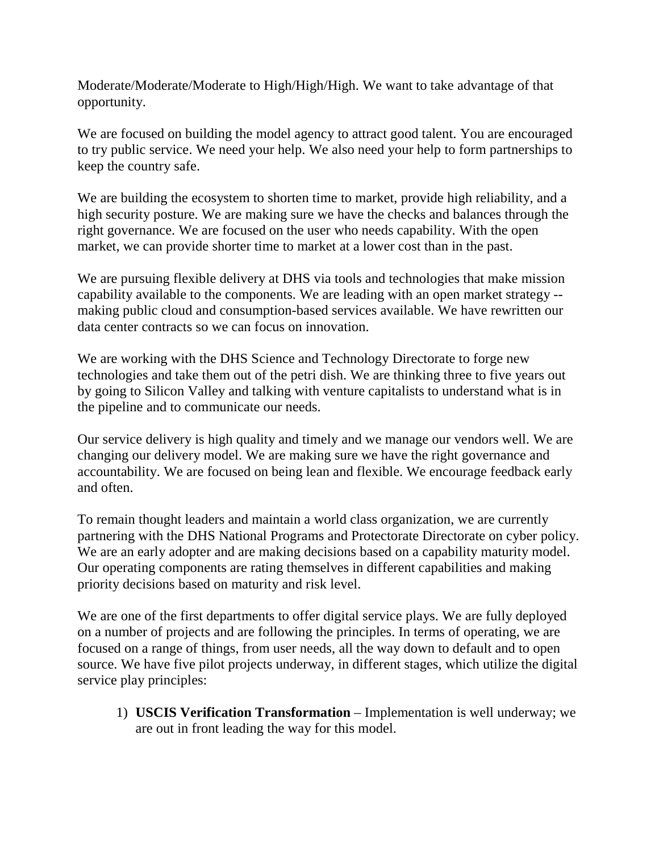Moderate/Moderate/Moderate to High/High/High. We want to take advantage of that opportunity.

We are focused on building the model agency to attract good talent. You are encouraged to try public service. We need your help. We also need your help to form partnerships to keep the country safe.

We are building the ecosystem to shorten time to market, provide high reliability, and a high security posture. We are making sure we have the checks and balances through the right governance. We are focused on the user who needs capability. With the open market, we can provide shorter time to market at a lower cost than in the past.

We are pursuing flexible delivery at DHS via tools and technologies that make mission capability available to the components. We are leading with an open market strategy - making public cloud and consumption-based services available. We have rewritten our data center contracts so we can focus on innovation.

We are working with the DHS Science and Technology Directorate to forge new technologies and take them out of the petri dish. We are thinking three to five years out by going to Silicon Valley and talking with venture capitalists to understand what is in the pipeline and to communicate our needs.

Our service delivery is high quality and timely and we manage our vendors well. We are changing our delivery model. We are making sure we have the right governance and accountability. We are focused on being lean and flexible. We encourage feedback early and often.

To remain thought leaders and maintain a world class organization, we are currently partnering with the DHS National Programs and Protectorate Directorate on cyber policy. We are an early adopter and are making decisions based on a capability maturity model. Our operating components are rating themselves in different capabilities and making priority decisions based on maturity and risk level.

We are one of the first departments to offer digital service plays. We are fully deployed on a number of projects and are following the principles. In terms of operating, we are focused on a range of things, from user needs, all the way down to default and to open source. We have five pilot projects underway, in different stages, which utilize the digital service play principles:

1) **USCIS Verification Transformation** – Implementation is well underway; we are out in front leading the way for this model.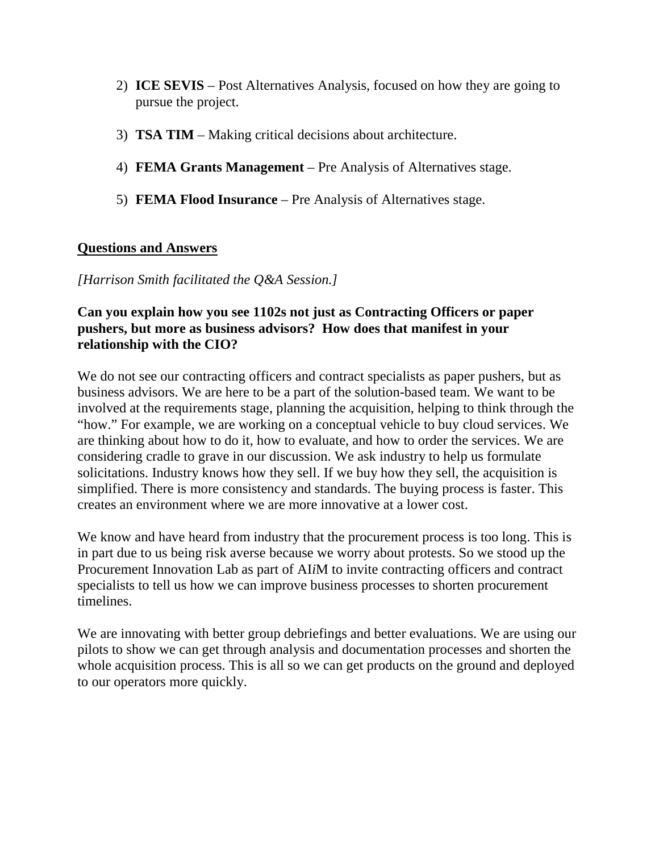- 2) **ICE SEVIS** Post Alternatives Analysis, focused on how they are going to pursue the project.
- 3) **TSA TIM** Making critical decisions about architecture.
- 4) **FEMA Grants Management** Pre Analysis of Alternatives stage.
- 5) **FEMA Flood Insurance** Pre Analysis of Alternatives stage.

## **Questions and Answers**

*[Harrison Smith facilitated the Q&A Session.]*

### **Can you explain how you see 1102s not just as Contracting Officers or paper pushers, but more as business advisors? How does that manifest in your relationship with the CIO?**

We do not see our contracting officers and contract specialists as paper pushers, but as business advisors. We are here to be a part of the solution-based team. We want to be involved at the requirements stage, planning the acquisition, helping to think through the "how." For example, we are working on a conceptual vehicle to buy cloud services. We are thinking about how to do it, how to evaluate, and how to order the services. We are considering cradle to grave in our discussion. We ask industry to help us formulate solicitations. Industry knows how they sell. If we buy how they sell, the acquisition is simplified. There is more consistency and standards. The buying process is faster. This creates an environment where we are more innovative at a lower cost.

We know and have heard from industry that the procurement process is too long. This is in part due to us being risk averse because we worry about protests. So we stood up the Procurement Innovation Lab as part of AI*i*M to invite contracting officers and contract specialists to tell us how we can improve business processes to shorten procurement timelines.

We are innovating with better group debriefings and better evaluations. We are using our pilots to show we can get through analysis and documentation processes and shorten the whole acquisition process. This is all so we can get products on the ground and deployed to our operators more quickly.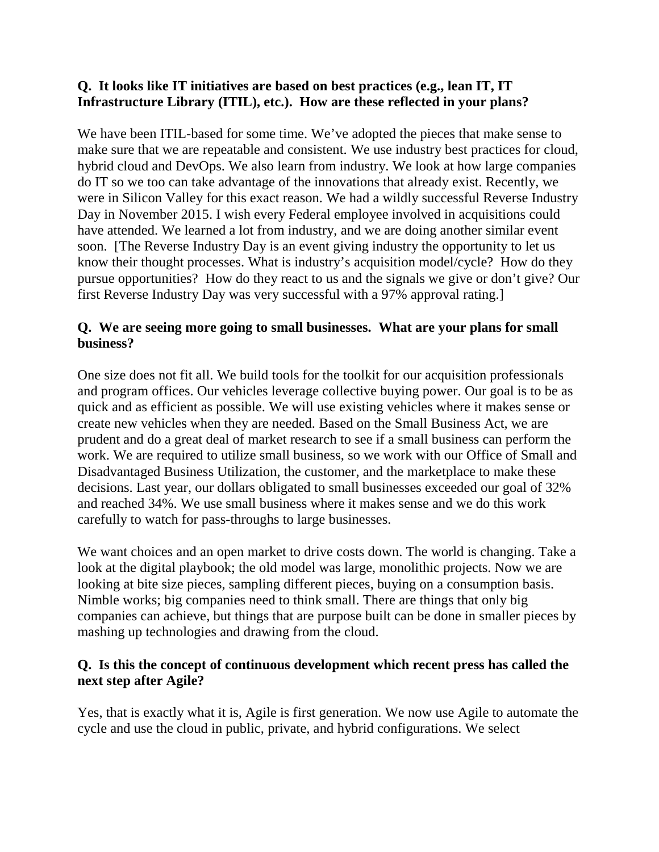## **Q. It looks like IT initiatives are based on best practices (e.g., lean IT, IT Infrastructure Library (ITIL), etc.). How are these reflected in your plans?**

We have been ITIL-based for some time. We've adopted the pieces that make sense to make sure that we are repeatable and consistent. We use industry best practices for cloud, hybrid cloud and DevOps. We also learn from industry. We look at how large companies do IT so we too can take advantage of the innovations that already exist. Recently, we were in Silicon Valley for this exact reason. We had a wildly successful Reverse Industry Day in November 2015. I wish every Federal employee involved in acquisitions could have attended. We learned a lot from industry, and we are doing another similar event soon. [The Reverse Industry Day is an event giving industry the opportunity to let us know their thought processes. What is industry's acquisition model/cycle? How do they pursue opportunities? How do they react to us and the signals we give or don't give? Our first Reverse Industry Day was very successful with a 97% approval rating.]

# **Q. We are seeing more going to small businesses. What are your plans for small business?**

One size does not fit all. We build tools for the toolkit for our acquisition professionals and program offices. Our vehicles leverage collective buying power. Our goal is to be as quick and as efficient as possible. We will use existing vehicles where it makes sense or create new vehicles when they are needed. Based on the Small Business Act, we are prudent and do a great deal of market research to see if a small business can perform the work. We are required to utilize small business, so we work with our Office of Small and Disadvantaged Business Utilization, the customer, and the marketplace to make these decisions. Last year, our dollars obligated to small businesses exceeded our goal of 32% and reached 34%. We use small business where it makes sense and we do this work carefully to watch for pass-throughs to large businesses.

We want choices and an open market to drive costs down. The world is changing. Take a look at the digital playbook; the old model was large, monolithic projects. Now we are looking at bite size pieces, sampling different pieces, buying on a consumption basis. Nimble works; big companies need to think small. There are things that only big companies can achieve, but things that are purpose built can be done in smaller pieces by mashing up technologies and drawing from the cloud.

### **Q. Is this the concept of continuous development which recent press has called the next step after Agile?**

Yes, that is exactly what it is, Agile is first generation. We now use Agile to automate the cycle and use the cloud in public, private, and hybrid configurations. We select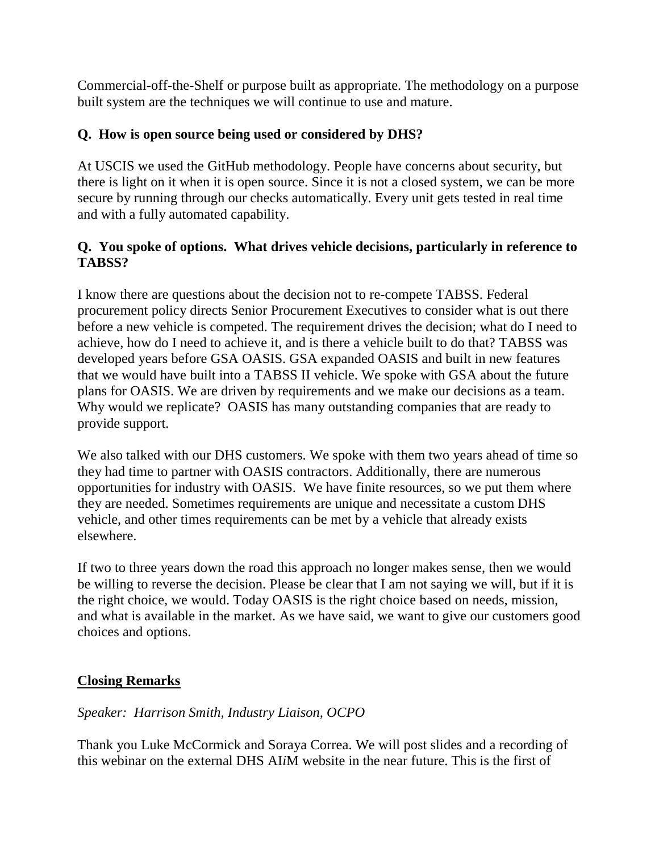Commercial-off-the-Shelf or purpose built as appropriate. The methodology on a purpose built system are the techniques we will continue to use and mature.

# **Q. How is open source being used or considered by DHS?**

At USCIS we used the GitHub methodology. People have concerns about security, but there is light on it when it is open source. Since it is not a closed system, we can be more secure by running through our checks automatically. Every unit gets tested in real time and with a fully automated capability.

## **Q. You spoke of options. What drives vehicle decisions, particularly in reference to TABSS?**

I know there are questions about the decision not to re-compete TABSS. Federal procurement policy directs Senior Procurement Executives to consider what is out there before a new vehicle is competed. The requirement drives the decision; what do I need to achieve, how do I need to achieve it, and is there a vehicle built to do that? TABSS was developed years before GSA OASIS. GSA expanded OASIS and built in new features that we would have built into a TABSS II vehicle. We spoke with GSA about the future plans for OASIS. We are driven by requirements and we make our decisions as a team. Why would we replicate? OASIS has many outstanding companies that are ready to provide support.

We also talked with our DHS customers. We spoke with them two years ahead of time so they had time to partner with OASIS contractors. Additionally, there are numerous opportunities for industry with OASIS. We have finite resources, so we put them where they are needed. Sometimes requirements are unique and necessitate a custom DHS vehicle, and other times requirements can be met by a vehicle that already exists elsewhere.

If two to three years down the road this approach no longer makes sense, then we would be willing to reverse the decision. Please be clear that I am not saying we will, but if it is the right choice, we would. Today OASIS is the right choice based on needs, mission, and what is available in the market. As we have said, we want to give our customers good choices and options.

### **Closing Remarks**

### *Speaker: Harrison Smith, Industry Liaison, OCPO*

Thank you Luke McCormick and Soraya Correa. We will post slides and a recording of this webinar on the external DHS AI*i*M website in the near future. This is the first of